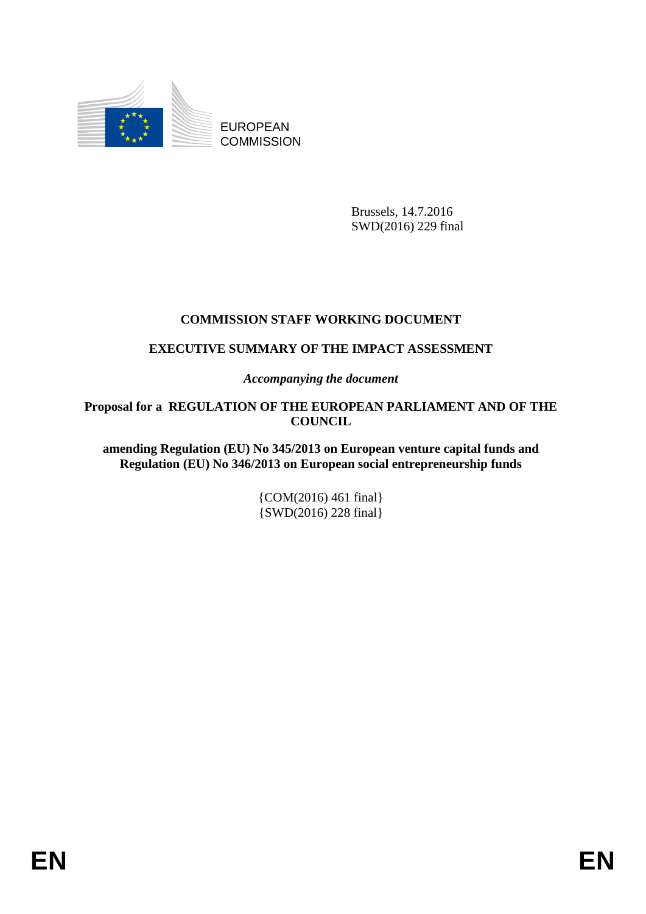

EUROPEAN **COMMISSION** 

> Brussels, 14.7.2016 SWD(2016) 229 final

# **COMMISSION STAFF WORKING DOCUMENT**

# **EXECUTIVE SUMMARY OF THE IMPACT ASSESSMENT**

*Accompanying the document*

**Proposal for a REGULATION OF THE EUROPEAN PARLIAMENT AND OF THE COUNCIL** 

**amending Regulation (EU) No 345/2013 on European venture capital funds and Regulation (EU) No 346/2013 on European social entrepreneurship funds**

> {COM(2016) 461 final} {SWD(2016) 228 final}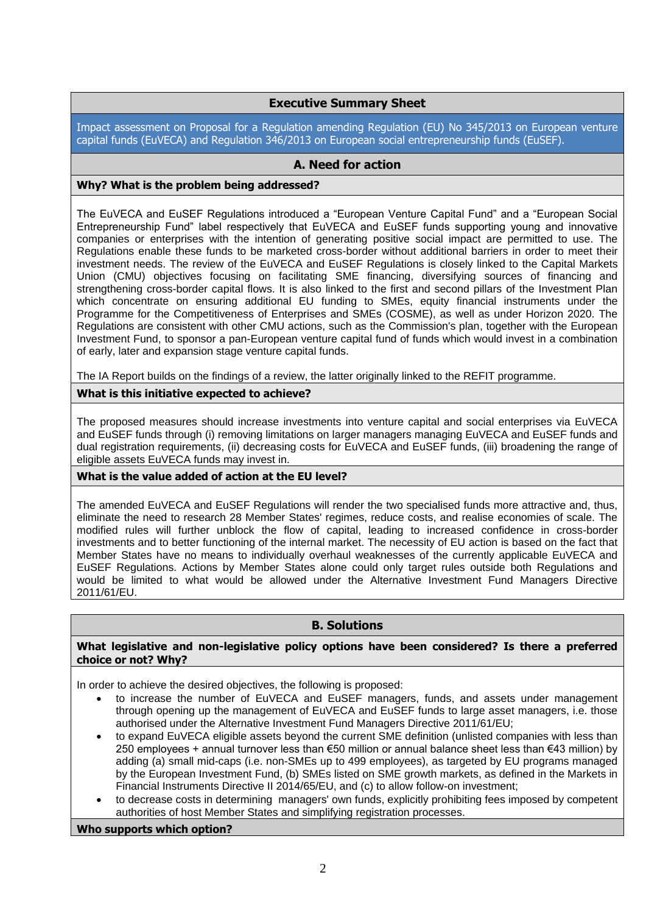# **Executive Summary Sheet**

Impact assessment on Proposal for a Regulation amending Regulation (EU) No 345/2013 on European venture capital funds (EuVECA) and Regulation 346/2013 on European social entrepreneurship funds (EuSEF).

# **A. Need for action**

# **Why? What is the problem being addressed?**

The EuVECA and EuSEF Regulations introduced a "European Venture Capital Fund" and a "European Social Entrepreneurship Fund" label respectively that EuVECA and EuSEF funds supporting young and innovative companies or enterprises with the intention of generating positive social impact are permitted to use. The Regulations enable these funds to be marketed cross-border without additional barriers in order to meet their investment needs. The review of the EuVECA and EuSEF Regulations is closely linked to the Capital Markets Union (CMU) objectives focusing on facilitating SME financing, diversifying sources of financing and strengthening cross-border capital flows. It is also linked to the first and second pillars of the Investment Plan which concentrate on ensuring additional EU funding to SMEs, equity financial instruments under the Programme for the Competitiveness of Enterprises and SMEs (COSME), as well as under Horizon 2020. The Regulations are consistent with other CMU actions, such as the Commission's plan, together with the European Investment Fund, to sponsor a pan-European venture capital fund of funds which would invest in a combination of early, later and expansion stage venture capital funds.

The IA Report builds on the findings of a review, the latter originally linked to the REFIT programme.

# **What is this initiative expected to achieve?**

The proposed measures should increase investments into venture capital and social enterprises via EuVECA and EuSEF funds through (i) removing limitations on larger managers managing EuVECA and EuSEF funds and dual registration requirements, (ii) decreasing costs for EuVECA and EuSEF funds, (iii) broadening the range of eligible assets EuVECA funds may invest in.

# **What is the value added of action at the EU level?**

The amended EuVECA and EuSEF Regulations will render the two specialised funds more attractive and, thus, eliminate the need to research 28 Member States' regimes, reduce costs, and realise economies of scale. The modified rules will further unblock the flow of capital, leading to increased confidence in cross-border investments and to better functioning of the internal market. The necessity of EU action is based on the fact that Member States have no means to individually overhaul weaknesses of the currently applicable EuVECA and EuSEF Regulations. Actions by Member States alone could only target rules outside both Regulations and would be limited to what would be allowed under the Alternative Investment Fund Managers Directive 2011/61/EU.

# **B. Solutions**

# **What legislative and non-legislative policy options have been considered? Is there a preferred choice or not? Why?**

In order to achieve the desired objectives, the following is proposed:

- to increase the number of EuVECA and EuSEF managers, funds, and assets under management through opening up the management of EuVECA and EuSEF funds to large asset managers, i.e. those authorised under the Alternative Investment Fund Managers Directive 2011/61/EU;
- to expand EuVECA eligible assets beyond the current SME definition (unlisted companies with less than 250 employees + annual turnover less than €50 million or annual balance sheet less than €43 million) by adding (a) small mid-caps (i.e. non-SMEs up to 499 employees), as targeted by EU programs managed by the European Investment Fund, (b) SMEs listed on SME growth markets, as defined in the Markets in Financial Instruments Directive II 2014/65/EU, and (c) to allow follow-on investment;
- to decrease costs in determining managers' own funds, explicitly prohibiting fees imposed by competent authorities of host Member States and simplifying registration processes.

#### **Who supports which option?**